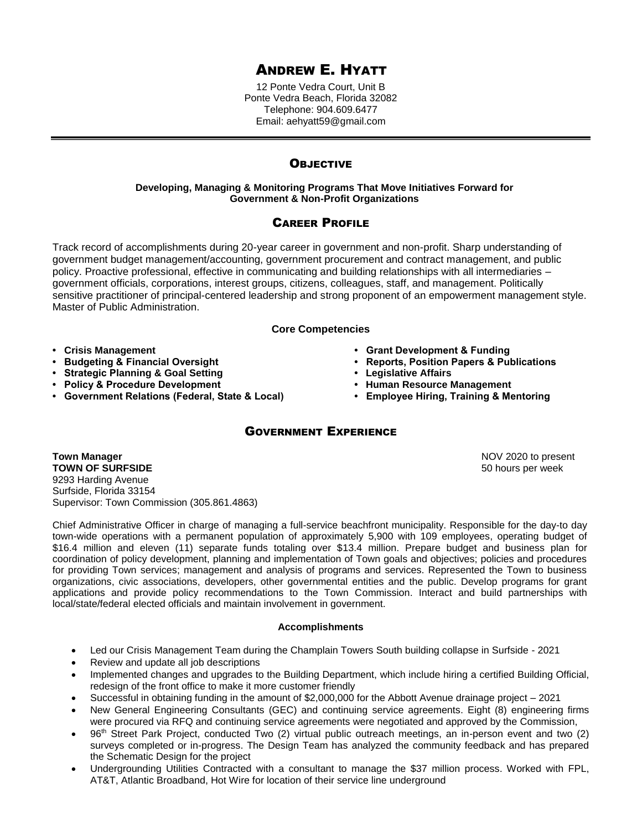# ANDREW E. HYATT

12 Ponte Vedra Court, Unit B Ponte Vedra Beach, Florida 32082 Telephone: 904.609.6477 Email: aehyatt59@gmail.com

## **OBJECTIVE**

## **Developing, Managing & Monitoring Programs That Move Initiatives Forward for Government & Non-Profit Organizations**

## CAREER PROFILE

Track record of accomplishments during 20-year career in government and non-profit. Sharp understanding of government budget management/accounting, government procurement and contract management, and public policy. Proactive professional, effective in communicating and building relationships with all intermediaries – government officials, corporations, interest groups, citizens, colleagues, staff, and management. Politically sensitive practitioner of principal-centered leadership and strong proponent of an empowerment management style. Master of Public Administration.

## **Core Competencies**

- **Crisis Management Grant Development & Funding**
- **Budgeting & Financial Oversight Reports, Position Papers & Publications**
- **Strategic Planning & Goal Setting • Legislative Affairs**
- **Policy & Procedure Development • Human Resource Management**
- **Government Relations (Federal, State & Local) Employee Hiring, Training & Mentoring**
- 
- 
- 
- -

## GOVERNMENT EXPERIENCE

**Town Manager** NOV 2020 to present **TOWN OF SURFSIDE 50 hours per week 50 hours per week 50 hours per week** 9293 Harding Avenue Surfside, Florida 33154 Supervisor: Town Commission (305.861.4863)

Chief Administrative Officer in charge of managing a full-service beachfront municipality. Responsible for the day-to day town-wide operations with a permanent population of approximately 5,900 with 109 employees, operating budget of \$16.4 million and eleven (11) separate funds totaling over \$13.4 million. Prepare budget and business plan for coordination of policy development, planning and implementation of Town goals and objectives; policies and procedures for providing Town services; management and analysis of programs and services. Represented the Town to business organizations, civic associations, developers, other governmental entities and the public. Develop programs for grant applications and provide policy recommendations to the Town Commission. Interact and build partnerships with local/state/federal elected officials and maintain involvement in government.

## **Accomplishments**

- Led our Crisis Management Team during the Champlain Towers South building collapse in Surfside 2021
- Review and update all job descriptions
- Implemented changes and upgrades to the Building Department, which include hiring a certified Building Official, redesign of the front office to make it more customer friendly
- Successful in obtaining funding in the amount of \$2,000,000 for the Abbott Avenue drainage project 2021
- New General Engineering Consultants (GEC) and continuing service agreements. Eight (8) engineering firms were procured via RFQ and continuing service agreements were negotiated and approved by the Commission,
- 96th Street Park Project, conducted Two (2) virtual public outreach meetings, an in-person event and two (2) surveys completed or in-progress. The Design Team has analyzed the community feedback and has prepared the Schematic Design for the project
- Undergrounding Utilities Contracted with a consultant to manage the \$37 million process. Worked with FPL, AT&T, Atlantic Broadband, Hot Wire for location of their service line underground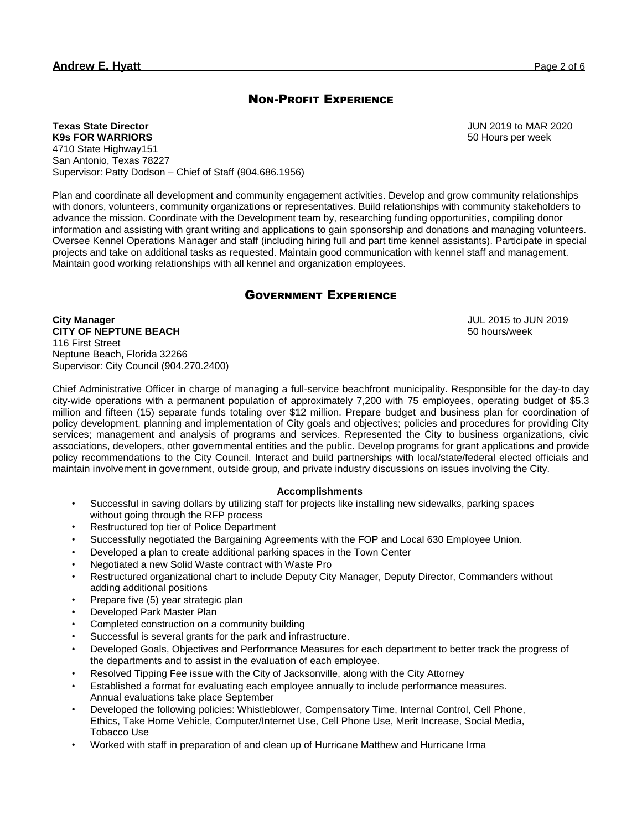## NON-PROFIT EXPERIENCE

**Texas State Director K9s FOR WARRIORS** 4710 State Highway151 San Antonio, Texas 78227 Supervisor: Patty Dodson – Chief of Staff (904.686.1956)

Plan and coordinate all development and community engagement activities. Develop and grow community relationships with donors, volunteers, community organizations or representatives. Build relationships with community stakeholders to advance the mission. Coordinate with the Development team by, researching funding opportunities, compiling donor information and assisting with grant writing and applications to gain sponsorship and donations and managing volunteers. Oversee Kennel Operations Manager and staff (including hiring full and part time kennel assistants). Participate in special projects and take on additional tasks as requested. Maintain good communication with kennel staff and management. Maintain good working relationships with all kennel and organization employees.

## GOVERNMENT EXPERIENCE

**City Manager CITY OF NEPTUNE BEACH** 116 First Street Neptune Beach, Florida 32266 Supervisor: City Council (904.270.2400)

Chief Administrative Officer in charge of managing a full-service beachfront municipality. Responsible for the day-to day city-wide operations with a permanent population of approximately 7,200 with 75 employees, operating budget of \$5.3 million and fifteen (15) separate funds totaling over \$12 million. Prepare budget and business plan for coordination of policy development, planning and implementation of City goals and objectives; policies and procedures for providing City services; management and analysis of programs and services. Represented the City to business organizations, civic associations, developers, other governmental entities and the public. Develop programs for grant applications and provide policy recommendations to the City Council. Interact and build partnerships with local/state/federal elected officials and maintain involvement in government, outside group, and private industry discussions on issues involving the City.

## **Accomplishments**

- Successful in saving dollars by utilizing staff for projects like installing new sidewalks, parking spaces without going through the RFP process
- Restructured top tier of Police Department
- Successfully negotiated the Bargaining Agreements with the FOP and Local 630 Employee Union.
- Developed a plan to create additional parking spaces in the Town Center
- Negotiated a new Solid Waste contract with Waste Pro
- Restructured organizational chart to include Deputy City Manager, Deputy Director, Commanders without adding additional positions
- Prepare five (5) year strategic plan
- Developed Park Master Plan
- Completed construction on a community building
- Successful is several grants for the park and infrastructure.
- Developed Goals, Objectives and Performance Measures for each department to better track the progress of the departments and to assist in the evaluation of each employee.
- Resolved Tipping Fee issue with the City of Jacksonville, along with the City Attorney
- Established a format for evaluating each employee annually to include performance measures. Annual evaluations take place September
- Developed the following policies: Whistleblower, Compensatory Time, Internal Control, Cell Phone, Ethics, Take Home Vehicle, Computer/Internet Use, Cell Phone Use, Merit Increase, Social Media, Tobacco Use
- Worked with staff in preparation of and clean up of Hurricane Matthew and Hurricane Irma

JUN 2019 to MAR 2020 50 Hours per week

JUL 2015 to JUN 2019 50 hours/week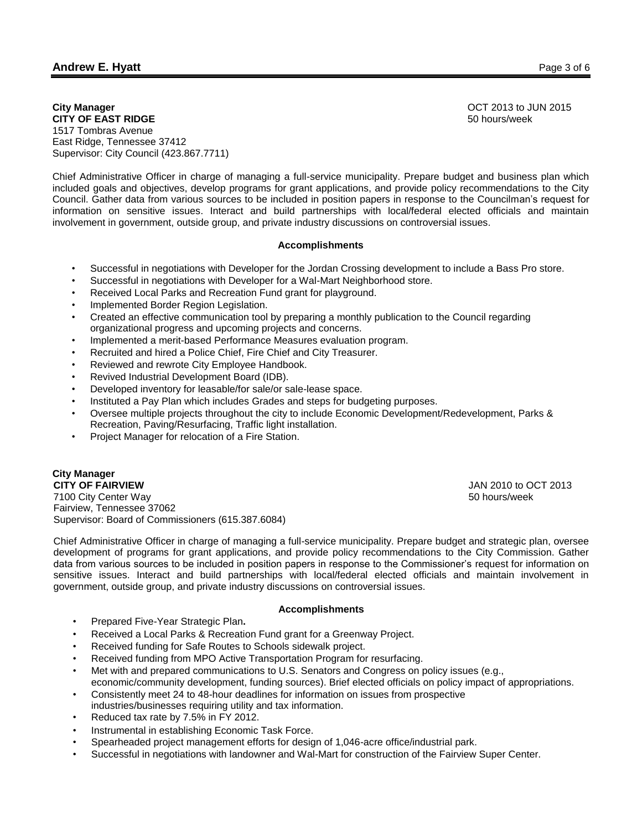## **Andrew E. Hyatt** Page 3 of 6

**City Manager**

OCT 2013 to JUN 2015 50 hours/week

**CITY OF EAST RIDGE** 1517 Tombras Avenue East Ridge, Tennessee 37412 Supervisor: City Council (423.867.7711)

Chief Administrative Officer in charge of managing a full-service municipality. Prepare budget and business plan which included goals and objectives, develop programs for grant applications, and provide policy recommendations to the City Council. Gather data from various sources to be included in position papers in response to the Councilman's request for information on sensitive issues. Interact and build partnerships with local/federal elected officials and maintain involvement in government, outside group, and private industry discussions on controversial issues.

#### **Accomplishments**

- Successful in negotiations with Developer for the Jordan Crossing development to include a Bass Pro store.
- Successful in negotiations with Developer for a Wal-Mart Neighborhood store.
- Received Local Parks and Recreation Fund grant for playground.
- Implemented Border Region Legislation.
- Created an effective communication tool by preparing a monthly publication to the Council regarding organizational progress and upcoming projects and concerns.
- Implemented a merit-based Performance Measures evaluation program.
- Recruited and hired a Police Chief, Fire Chief and City Treasurer.
- Reviewed and rewrote City Employee Handbook.
- Revived Industrial Development Board (IDB).
- Developed inventory for leasable/for sale/or sale-lease space.
- Instituted a Pay Plan which includes Grades and steps for budgeting purposes.
- Oversee multiple projects throughout the city to include Economic Development/Redevelopment, Parks & Recreation, Paving/Resurfacing, Traffic light installation.
- Project Manager for relocation of a Fire Station.

**City Manager CITY OF FAIRVIEW** JAN 2010 to OCT 2013 7100 City Center Way 50 hours/week Fairview, Tennessee 37062 Supervisor: Board of Commissioners (615.387.6084)

Chief Administrative Officer in charge of managing a full-service municipality. Prepare budget and strategic plan, oversee development of programs for grant applications, and provide policy recommendations to the City Commission. Gather data from various sources to be included in position papers in response to the Commissioner's request for information on sensitive issues. Interact and build partnerships with local/federal elected officials and maintain involvement in government, outside group, and private industry discussions on controversial issues.

#### **Accomplishments**

- Prepared Five-Year Strategic Plan**.**
- Received a Local Parks & Recreation Fund grant for a Greenway Project.
- Received funding for Safe Routes to Schools sidewalk project.
- Received funding from MPO Active Transportation Program for resurfacing.
- Met with and prepared communications to U.S. Senators and Congress on policy issues (e.g., economic/community development, funding sources). Brief elected officials on policy impact of appropriations.
- Consistently meet 24 to 48-hour deadlines for information on issues from prospective industries/businesses requiring utility and tax information.
- Reduced tax rate by 7.5% in FY 2012.
- Instrumental in establishing Economic Task Force.
- Spearheaded project management efforts for design of 1,046-acre office/industrial park.
- Successful in negotiations with landowner and Wal-Mart for construction of the Fairview Super Center.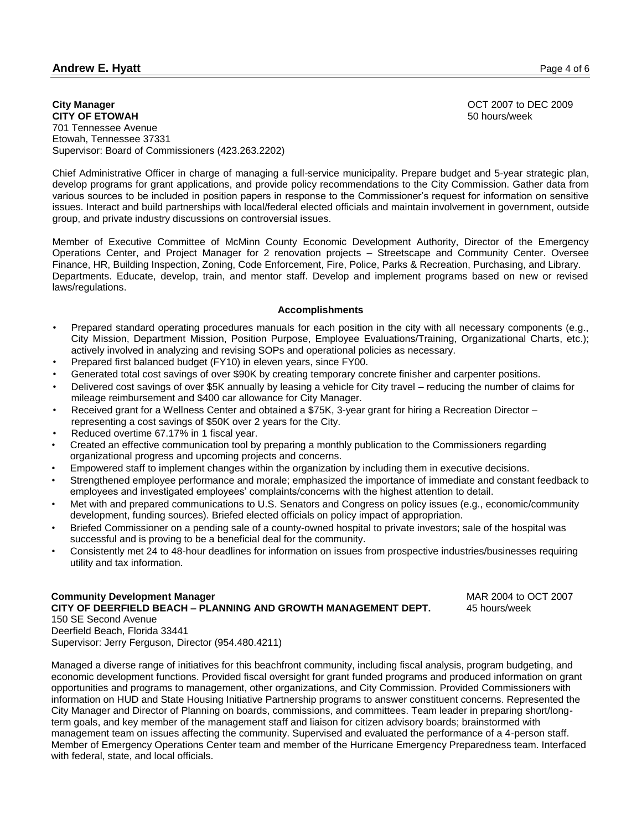## **Andrew E. Hyatt** Page 4 of 6

**City Manager CITY OF ETOWAH** 701 Tennessee Avenue Etowah, Tennessee 37331 Supervisor: Board of Commissioners (423.263.2202) OCT 2007 to DEC 2009 50 hours/week

Chief Administrative Officer in charge of managing a full-service municipality. Prepare budget and 5-year strategic plan, develop programs for grant applications, and provide policy recommendations to the City Commission. Gather data from various sources to be included in position papers in response to the Commissioner's request for information on sensitive issues. Interact and build partnerships with local/federal elected officials and maintain involvement in government, outside group, and private industry discussions on controversial issues.

Member of Executive Committee of McMinn County Economic Development Authority, Director of the Emergency Operations Center, and Project Manager for 2 renovation projects – Streetscape and Community Center. Oversee Finance, HR, Building Inspection, Zoning, Code Enforcement, Fire, Police, Parks & Recreation, Purchasing, and Library. Departments. Educate, develop, train, and mentor staff. Develop and implement programs based on new or revised laws/regulations.

#### **Accomplishments**

- Prepared standard operating procedures manuals for each position in the city with all necessary components (e.g., City Mission, Department Mission, Position Purpose, Employee Evaluations/Training, Organizational Charts, etc.); actively involved in analyzing and revising SOPs and operational policies as necessary.
- Prepared first balanced budget (FY10) in eleven years, since FY00.
- Generated total cost savings of over \$90K by creating temporary concrete finisher and carpenter positions.
- Delivered cost savings of over \$5K annually by leasing a vehicle for City travel reducing the number of claims for mileage reimbursement and \$400 car allowance for City Manager.
- Received grant for a Wellness Center and obtained a \$75K, 3-year grant for hiring a Recreation Director representing a cost savings of \$50K over 2 years for the City.
- Reduced overtime 67.17% in 1 fiscal year.
- Created an effective communication tool by preparing a monthly publication to the Commissioners regarding organizational progress and upcoming projects and concerns.
- Empowered staff to implement changes within the organization by including them in executive decisions.
- Strengthened employee performance and morale; emphasized the importance of immediate and constant feedback to employees and investigated employees' complaints/concerns with the highest attention to detail.
- Met with and prepared communications to U.S. Senators and Congress on policy issues (e.g., economic/community development, funding sources). Briefed elected officials on policy impact of appropriation.
- Briefed Commissioner on a pending sale of a county-owned hospital to private investors; sale of the hospital was successful and is proving to be a beneficial deal for the community.
- Consistently met 24 to 48-hour deadlines for information on issues from prospective industries/businesses requiring utility and tax information.

## **Community Development Manager** MAR 2004 to OCT 2007 **CITY OF DEERFIELD BEACH – PLANNING AND GROWTH MANAGEMENT DEPT.** 45 hours/week 150 SE Second Avenue Deerfield Beach, Florida 33441 Supervisor: Jerry Ferguson, Director (954.480.4211)

Managed a diverse range of initiatives for this beachfront community, including fiscal analysis, program budgeting, and economic development functions. Provided fiscal oversight for grant funded programs and produced information on grant opportunities and programs to management, other organizations, and City Commission. Provided Commissioners with information on HUD and State Housing Initiative Partnership programs to answer constituent concerns. Represented the City Manager and Director of Planning on boards, commissions, and committees. Team leader in preparing short/longterm goals, and key member of the management staff and liaison for citizen advisory boards; brainstormed with management team on issues affecting the community. Supervised and evaluated the performance of a 4-person staff. Member of Emergency Operations Center team and member of the Hurricane Emergency Preparedness team. Interfaced with federal, state, and local officials.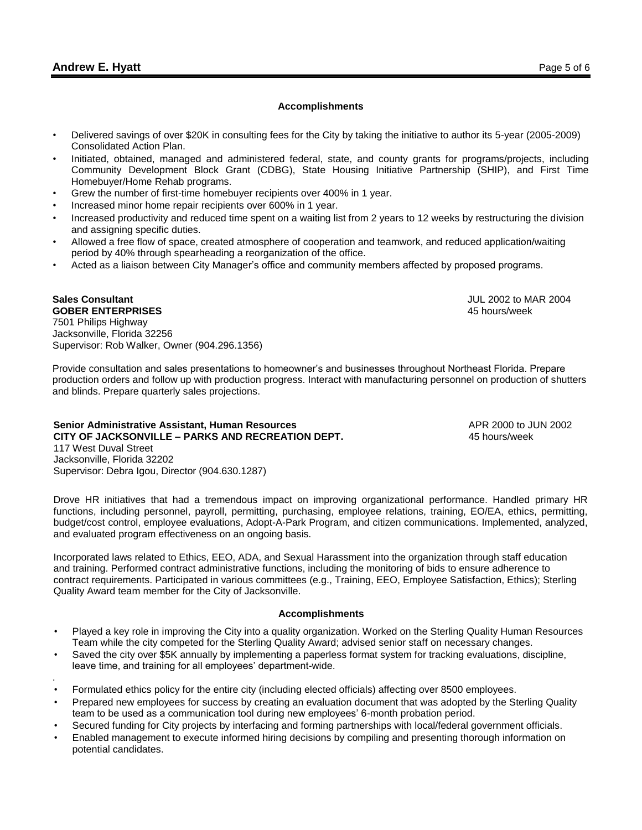**Sales Consultant**

.

#### **Accomplishments**

- Delivered savings of over \$20K in consulting fees for the City by taking the initiative to author its 5-year (2005-2009) Consolidated Action Plan.
- Initiated, obtained, managed and administered federal, state, and county grants for programs/projects, including Community Development Block Grant (CDBG), State Housing Initiative Partnership (SHIP), and First Time Homebuyer/Home Rehab programs.
- Grew the number of first-time homebuyer recipients over 400% in 1 year.
- Increased minor home repair recipients over 600% in 1 year.
- Increased productivity and reduced time spent on a waiting list from 2 years to 12 weeks by restructuring the division and assigning specific duties.
- Allowed a free flow of space, created atmosphere of cooperation and teamwork, and reduced application/waiting period by 40% through spearheading a reorganization of the office.
- Acted as a liaison between City Manager's office and community members affected by proposed programs.

JUL 2002 to MAR 2004 45 hours/week

**GOBER ENTERPRISES** 7501 Philips Highway Jacksonville, Florida 32256 Supervisor: Rob Walker, Owner (904.296.1356)

Provide consultation and sales presentations to homeowner's and businesses throughout Northeast Florida. Prepare production orders and follow up with production progress. Interact with manufacturing personnel on production of shutters and blinds. Prepare quarterly sales projections.

**Senior Administrative Assistant, Human Resources** APR 2000 to JUN 2002 **CITY OF JACKSONVILLE – PARKS AND RECREATION DEPT.** 45 hours/week 117 West Duval Street Jacksonville, Florida 32202 Supervisor: Debra Igou, Director (904.630.1287)

Drove HR initiatives that had a tremendous impact on improving organizational performance. Handled primary HR functions, including personnel, payroll, permitting, purchasing, employee relations, training, EO/EA, ethics, permitting, budget/cost control, employee evaluations, Adopt-A-Park Program, and citizen communications. Implemented, analyzed, and evaluated program effectiveness on an ongoing basis.

Incorporated laws related to Ethics, EEO, ADA, and Sexual Harassment into the organization through staff education and training. Performed contract administrative functions, including the monitoring of bids to ensure adherence to contract requirements. Participated in various committees (e.g., Training, EEO, Employee Satisfaction, Ethics); Sterling Quality Award team member for the City of Jacksonville.

#### **Accomplishments**

- Played a key role in improving the City into a quality organization. Worked on the Sterling Quality Human Resources Team while the city competed for the Sterling Quality Award; advised senior staff on necessary changes.
- Saved the city over \$5K annually by implementing a paperless format system for tracking evaluations, discipline, leave time, and training for all employees' department-wide.
- Formulated ethics policy for the entire city (including elected officials) affecting over 8500 employees.
- Prepared new employees for success by creating an evaluation document that was adopted by the Sterling Quality team to be used as a communication tool during new employees' 6-month probation period.
- Secured funding for City projects by interfacing and forming partnerships with local/federal government officials.
- Enabled management to execute informed hiring decisions by compiling and presenting thorough information on potential candidates.